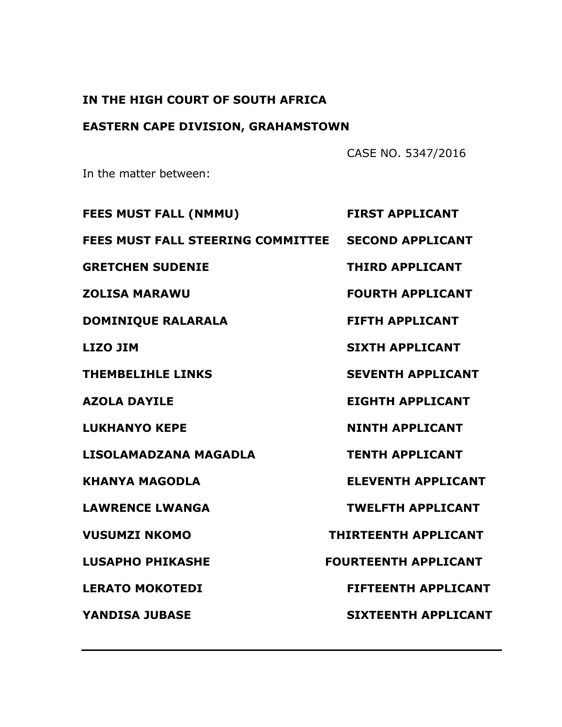## **IN THE HIGH COURT OF SOUTH AFRICA**

# **EASTERN CAPE DIVISION, GRAHAMSTOWN**

CASE NO. 5347/2016

In the matter between:

| <b>FEES MUST FALL (NMMU)</b>                       | <b>FIRST APPLICANT</b>      |
|----------------------------------------------------|-----------------------------|
| FEES MUST FALL STEERING COMMITTEE SECOND APPLICANT |                             |
| <b>GRETCHEN SUDENIE</b>                            | <b>THIRD APPLICANT</b>      |
| <b>ZOLISA MARAWU</b>                               | <b>FOURTH APPLICANT</b>     |
| <b>DOMINIQUE RALARALA</b>                          | <b>FIFTH APPLICANT</b>      |
| <b>LIZO JIM</b>                                    | <b>SIXTH APPLICANT</b>      |
| <b>THEMBELIHLE LINKS</b>                           | <b>SEVENTH APPLICANT</b>    |
| <b>AZOLA DAYILE</b>                                | <b>EIGHTH APPLICANT</b>     |
| <b>LUKHANYO KEPE</b>                               | <b>NINTH APPLICANT</b>      |
| LISOLAMADZANA MAGADLA                              | <b>TENTH APPLICANT</b>      |
| <b>KHANYA MAGODLA</b>                              | <b>ELEVENTH APPLICANT</b>   |
| <b>LAWRENCE LWANGA</b>                             | <b>TWELFTH APPLICANT</b>    |
| <b>VUSUMZI NKOMO</b>                               | <b>THIRTEENTH APPLICANT</b> |
| <b>LUSAPHO PHIKASHE</b>                            | <b>FOURTEENTH APPLICANT</b> |
| <b>LERATO MOKOTEDI</b>                             | <b>FIFTEENTH APPLICANT</b>  |
| <b>YANDISA JUBASE</b>                              | <b>SIXTEENTH APPLICANT</b>  |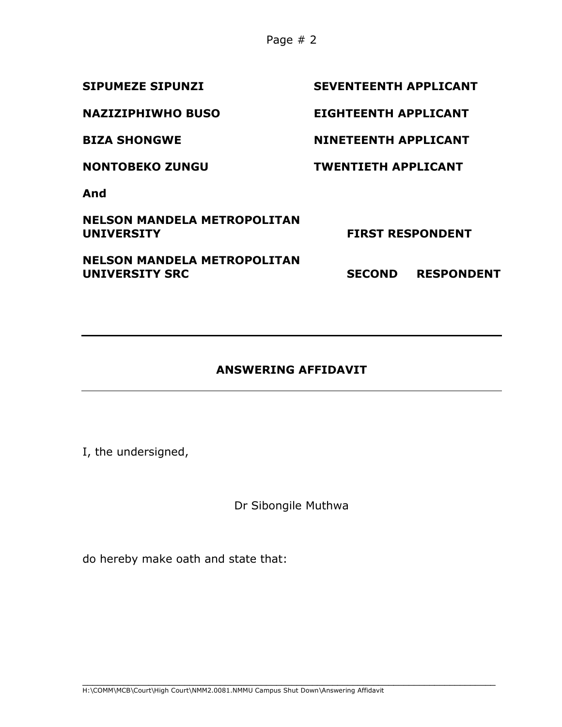Page # 2

| <b>SEVENTEENTH APPLICANT</b> |                   |
|------------------------------|-------------------|
| <b>EIGHTEENTH APPLICANT</b>  |                   |
| NINETEENTH APPLICANT         |                   |
| <b>TWENTIETH APPLICANT</b>   |                   |
|                              |                   |
| <b>FIRST RESPONDENT</b>      |                   |
| <b>SECOND</b>                | <b>RESPONDENT</b> |
|                              |                   |

## **ANSWERING AFFIDAVIT**

I, the undersigned,

Dr Sibongile Muthwa

do hereby make oath and state that: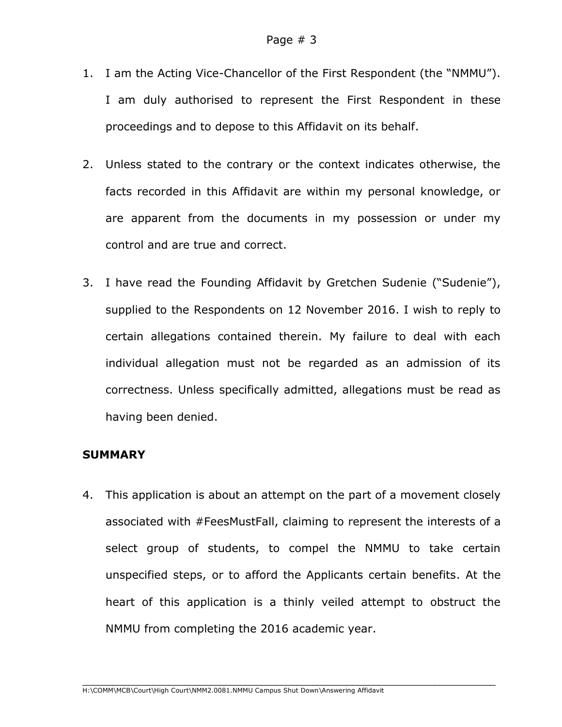- 1. I am the Acting Vice-Chancellor of the First Respondent (the "NMMU"). I am duly authorised to represent the First Respondent in these proceedings and to depose to this Affidavit on its behalf.
- 2. Unless stated to the contrary or the context indicates otherwise, the facts recorded in this Affidavit are within my personal knowledge, or are apparent from the documents in my possession or under my control and are true and correct.
- 3. I have read the Founding Affidavit by Gretchen Sudenie ("Sudenie"), supplied to the Respondents on 12 November 2016. I wish to reply to certain allegations contained therein. My failure to deal with each individual allegation must not be regarded as an admission of its correctness. Unless specifically admitted, allegations must be read as having been denied.

## **SUMMARY**

4. This application is about an attempt on the part of a movement closely associated with #FeesMustFall, claiming to represent the interests of a select group of students, to compel the NMMU to take certain unspecified steps, or to afford the Applicants certain benefits. At the heart of this application is a thinly veiled attempt to obstruct the NMMU from completing the 2016 academic year.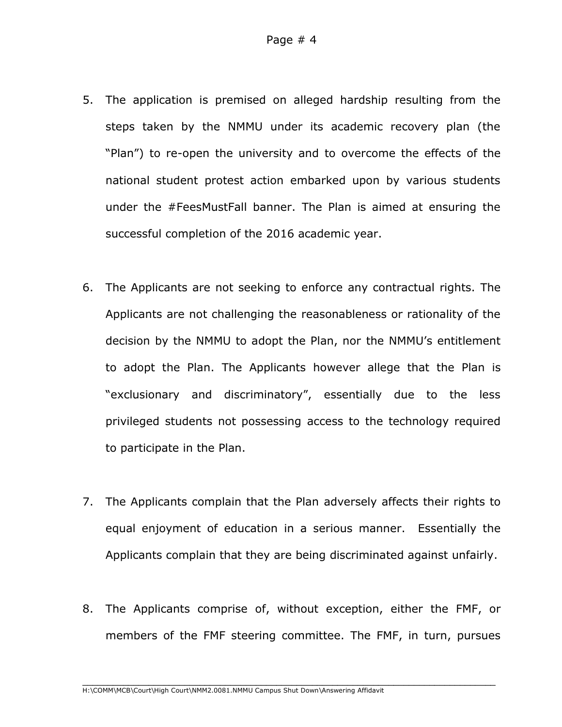- 5. The application is premised on alleged hardship resulting from the steps taken by the NMMU under its academic recovery plan (the "Plan") to re-open the university and to overcome the effects of the national student protest action embarked upon by various students under the #FeesMustFall banner. The Plan is aimed at ensuring the successful completion of the 2016 academic year.
- 6. The Applicants are not seeking to enforce any contractual rights. The Applicants are not challenging the reasonableness or rationality of the decision by the NMMU to adopt the Plan, nor the NMMU's entitlement to adopt the Plan. The Applicants however allege that the Plan is "exclusionary and discriminatory", essentially due to the less privileged students not possessing access to the technology required to participate in the Plan.
- 7. The Applicants complain that the Plan adversely affects their rights to equal enjoyment of education in a serious manner. Essentially the Applicants complain that they are being discriminated against unfairly.
- 8. The Applicants comprise of, without exception, either the FMF, or members of the FMF steering committee. The FMF, in turn, pursues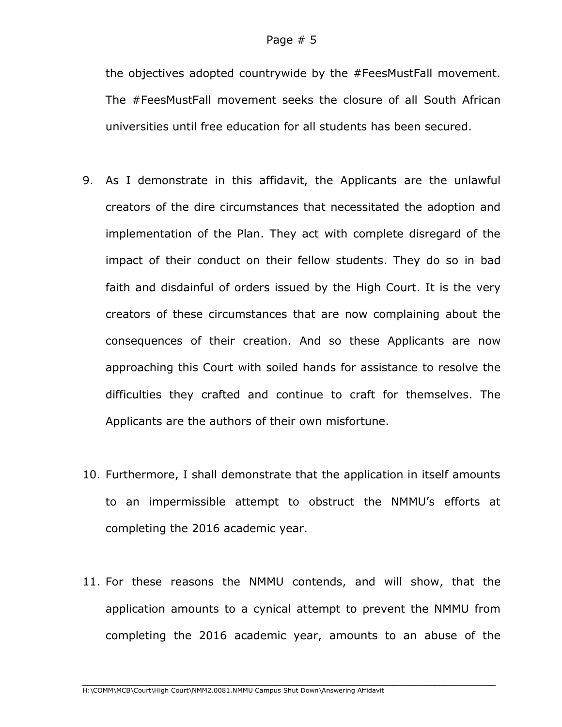the objectives adopted countrywide by the #FeesMustFall movement. The #FeesMustFall movement seeks the closure of all South African universities until free education for all students has been secured.

- 9. As I demonstrate in this affidavit, the Applicants are the unlawful creators of the dire circumstances that necessitated the adoption and implementation of the Plan. They act with complete disregard of the impact of their conduct on their fellow students. They do so in bad faith and disdainful of orders issued by the High Court. It is the very creators of these circumstances that are now complaining about the consequences of their creation. And so these Applicants are now approaching this Court with soiled hands for assistance to resolve the difficulties they crafted and continue to craft for themselves. The Applicants are the authors of their own misfortune.
- 10. Furthermore, I shall demonstrate that the application in itself amounts to an impermissible attempt to obstruct the NMMU's efforts at completing the 2016 academic year.
- 11. For these reasons the NMMU contends, and will show, that the application amounts to a cynical attempt to prevent the NMMU from completing the 2016 academic year, amounts to an abuse of the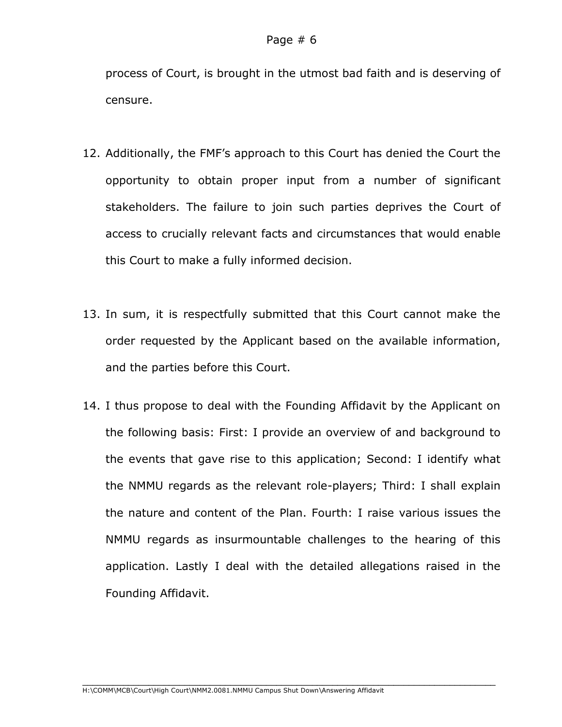process of Court, is brought in the utmost bad faith and is deserving of censure.

- 12. Additionally, the FMF's approach to this Court has denied the Court the opportunity to obtain proper input from a number of significant stakeholders. The failure to join such parties deprives the Court of access to crucially relevant facts and circumstances that would enable this Court to make a fully informed decision.
- 13. In sum, it is respectfully submitted that this Court cannot make the order requested by the Applicant based on the available information, and the parties before this Court.
- 14. I thus propose to deal with the Founding Affidavit by the Applicant on the following basis: First: I provide an overview of and background to the events that gave rise to this application; Second: I identify what the NMMU regards as the relevant role-players; Third: I shall explain the nature and content of the Plan. Fourth: I raise various issues the NMMU regards as insurmountable challenges to the hearing of this application. Lastly I deal with the detailed allegations raised in the Founding Affidavit.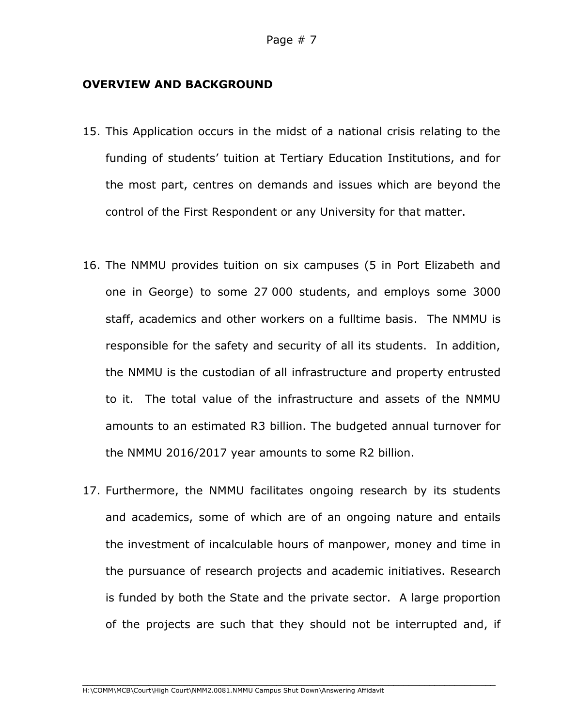#### **OVERVIEW AND BACKGROUND**

- 15. This Application occurs in the midst of a national crisis relating to the funding of students' tuition at Tertiary Education Institutions, and for the most part, centres on demands and issues which are beyond the control of the First Respondent or any University for that matter.
- 16. The NMMU provides tuition on six campuses (5 in Port Elizabeth and one in George) to some 27 000 students, and employs some 3000 staff, academics and other workers on a fulltime basis. The NMMU is responsible for the safety and security of all its students. In addition, the NMMU is the custodian of all infrastructure and property entrusted to it. The total value of the infrastructure and assets of the NMMU amounts to an estimated R3 billion. The budgeted annual turnover for the NMMU 2016/2017 year amounts to some R2 billion.
- 17. Furthermore, the NMMU facilitates ongoing research by its students and academics, some of which are of an ongoing nature and entails the investment of incalculable hours of manpower, money and time in the pursuance of research projects and academic initiatives. Research is funded by both the State and the private sector. A large proportion of the projects are such that they should not be interrupted and, if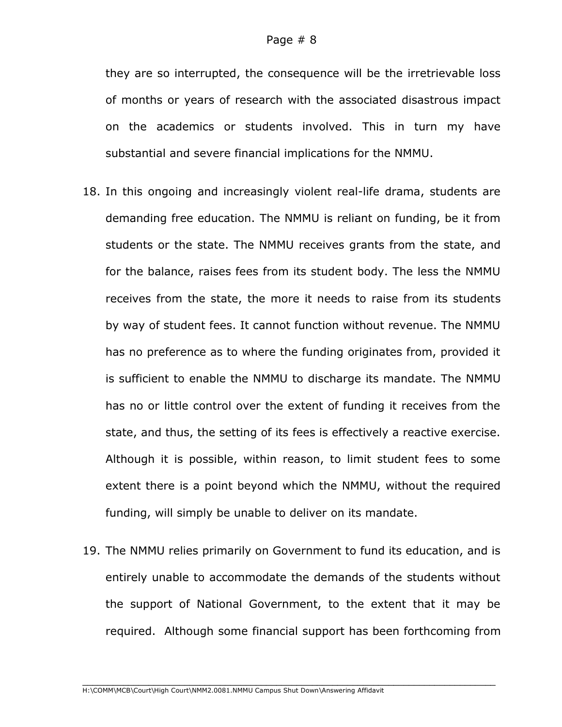they are so interrupted, the consequence will be the irretrievable loss of months or years of research with the associated disastrous impact on the academics or students involved. This in turn my have substantial and severe financial implications for the NMMU.

- 18. In this ongoing and increasingly violent real-life drama, students are demanding free education. The NMMU is reliant on funding, be it from students or the state. The NMMU receives grants from the state, and for the balance, raises fees from its student body. The less the NMMU receives from the state, the more it needs to raise from its students by way of student fees. It cannot function without revenue. The NMMU has no preference as to where the funding originates from, provided it is sufficient to enable the NMMU to discharge its mandate. The NMMU has no or little control over the extent of funding it receives from the state, and thus, the setting of its fees is effectively a reactive exercise. Although it is possible, within reason, to limit student fees to some extent there is a point beyond which the NMMU, without the required funding, will simply be unable to deliver on its mandate.
- 19. The NMMU relies primarily on Government to fund its education, and is entirely unable to accommodate the demands of the students without the support of National Government, to the extent that it may be required. Although some financial support has been forthcoming from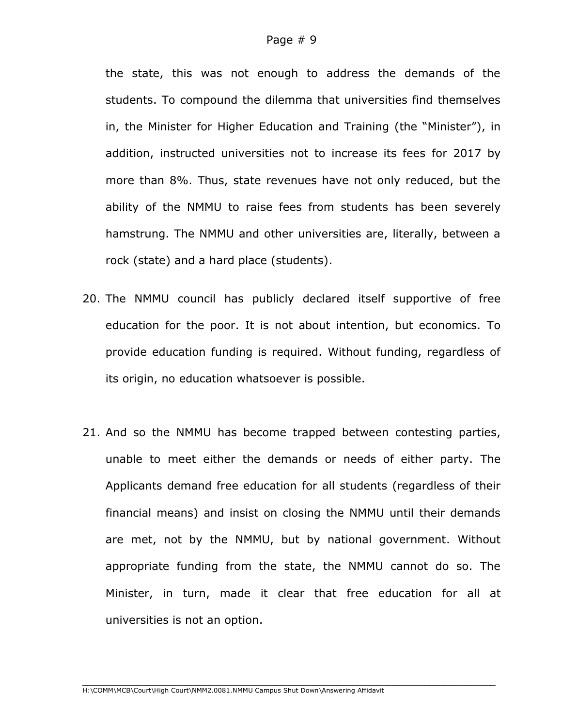the state, this was not enough to address the demands of the students. To compound the dilemma that universities find themselves in, the Minister for Higher Education and Training (the "Minister"), in addition, instructed universities not to increase its fees for 2017 by more than 8%. Thus, state revenues have not only reduced, but the ability of the NMMU to raise fees from students has been severely hamstrung. The NMMU and other universities are, literally, between a rock (state) and a hard place (students).

- 20. The NMMU council has publicly declared itself supportive of free education for the poor. It is not about intention, but economics. To provide education funding is required. Without funding, regardless of its origin, no education whatsoever is possible.
- 21. And so the NMMU has become trapped between contesting parties, unable to meet either the demands or needs of either party. The Applicants demand free education for all students (regardless of their financial means) and insist on closing the NMMU until their demands are met, not by the NMMU, but by national government. Without appropriate funding from the state, the NMMU cannot do so. The Minister, in turn, made it clear that free education for all at universities is not an option.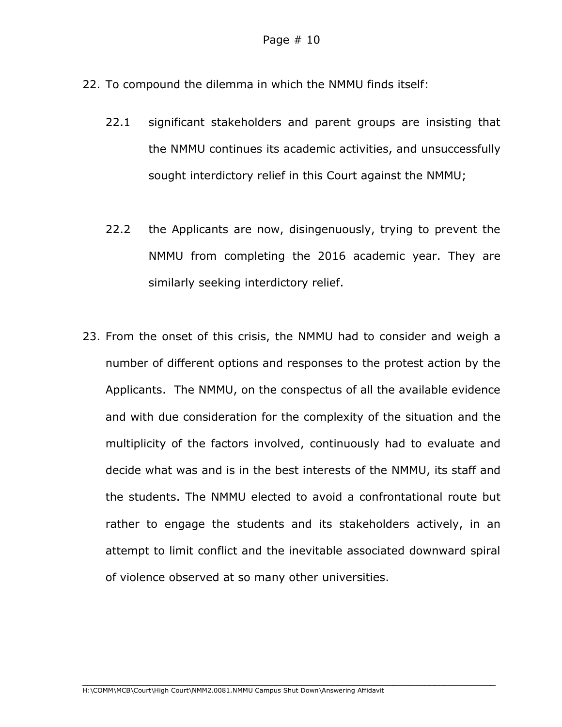- 22. To compound the dilemma in which the NMMU finds itself:
	- 22.1 significant stakeholders and parent groups are insisting that the NMMU continues its academic activities, and unsuccessfully sought interdictory relief in this Court against the NMMU;
	- 22.2 the Applicants are now, disingenuously, trying to prevent the NMMU from completing the 2016 academic year. They are similarly seeking interdictory relief.
- 23. From the onset of this crisis, the NMMU had to consider and weigh a number of different options and responses to the protest action by the Applicants. The NMMU, on the conspectus of all the available evidence and with due consideration for the complexity of the situation and the multiplicity of the factors involved, continuously had to evaluate and decide what was and is in the best interests of the NMMU, its staff and the students. The NMMU elected to avoid a confrontational route but rather to engage the students and its stakeholders actively, in an attempt to limit conflict and the inevitable associated downward spiral of violence observed at so many other universities.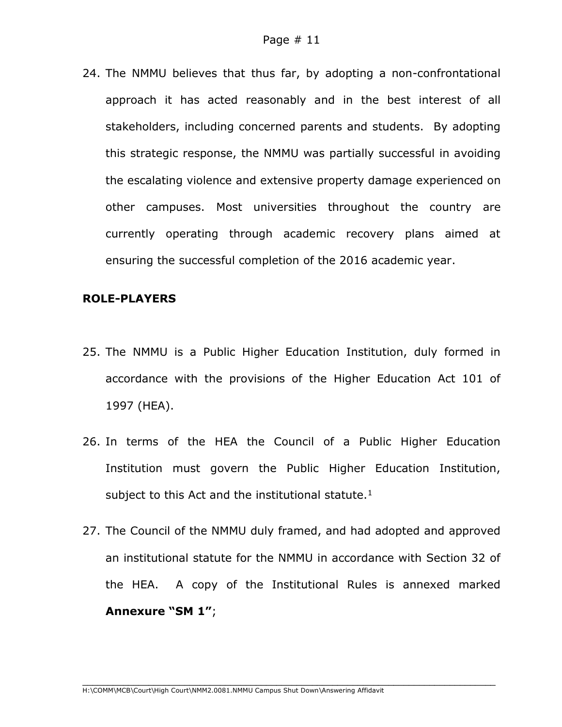24. The NMMU believes that thus far, by adopting a non-confrontational approach it has acted reasonably and in the best interest of all stakeholders, including concerned parents and students. By adopting this strategic response, the NMMU was partially successful in avoiding the escalating violence and extensive property damage experienced on other campuses. Most universities throughout the country are currently operating through academic recovery plans aimed at ensuring the successful completion of the 2016 academic year.

#### **ROLE-PLAYERS**

- 25. The NMMU is a Public Higher Education Institution, duly formed in accordance with the provisions of the Higher Education Act 101 of 1997 (HEA).
- 26. In terms of the HEA the Council of a Public Higher Education Institution must govern the Public Higher Education Institution, subject to this Act and the institutional statute. $1$
- 27. The Council of the NMMU duly framed, and had adopted and approved an institutional statute for the NMMU in accordance with Section 32 of the HEA. A copy of the Institutional Rules is annexed marked **Annexure "SM 1"**;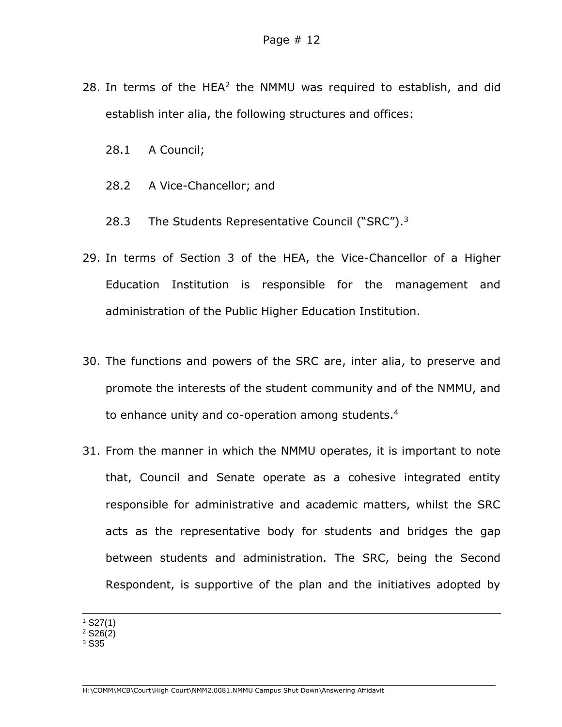- 28. In terms of the HEA<sup>2</sup> the NMMU was required to establish, and did establish inter alia, the following structures and offices:
	- 28.1 A Council;
	- 28.2 A Vice-Chancellor; and
	- 28.3 The Students Representative Council ("SRC").<sup>3</sup>
- 29. In terms of Section 3 of the HEA, the Vice-Chancellor of a Higher Education Institution is responsible for the management and administration of the Public Higher Education Institution.
- 30. The functions and powers of the SRC are, inter alia, to preserve and promote the interests of the student community and of the NMMU, and to enhance unity and co-operation among students.<sup>4</sup>
- 31. From the manner in which the NMMU operates, it is important to note that, Council and Senate operate as a cohesive integrated entity responsible for administrative and academic matters, whilst the SRC acts as the representative body for students and bridges the gap between students and administration. The SRC, being the Second Respondent, is supportive of the plan and the initiatives adopted by

 $1$  S27(1)

 $2$  S<sub>26</sub> $(2)$ 

<sup>3</sup> S35

1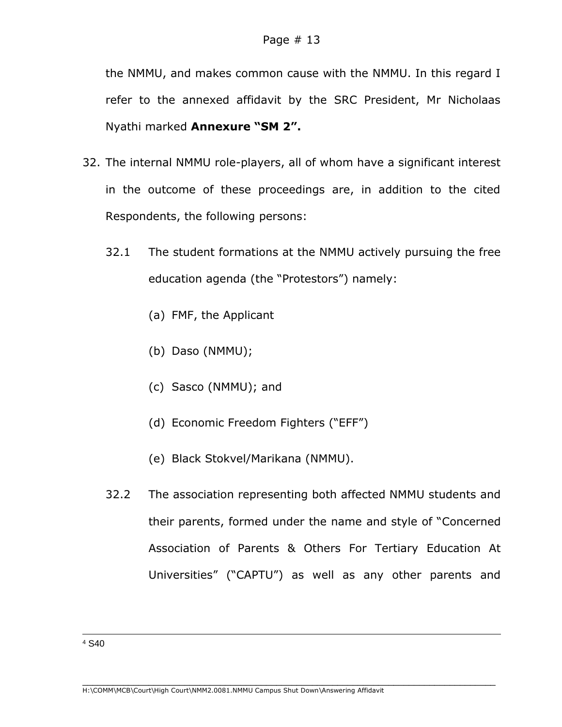the NMMU, and makes common cause with the NMMU. In this regard I refer to the annexed affidavit by the SRC President, Mr Nicholaas Nyathi marked **Annexure "SM 2".**

- 32. The internal NMMU role-players, all of whom have a significant interest in the outcome of these proceedings are, in addition to the cited Respondents, the following persons:
	- 32.1 The student formations at the NMMU actively pursuing the free education agenda (the "Protestors") namely:
		- (a) FMF, the Applicant
		- (b) Daso (NMMU);
		- (c) Sasco (NMMU); and
		- (d) Economic Freedom Fighters ("EFF")
		- (e) Black Stokvel/Marikana (NMMU).
	- 32.2 The association representing both affected NMMU students and their parents, formed under the name and style of "Concerned Association of Parents & Others For Tertiary Education At Universities" ("CAPTU") as well as any other parents and

-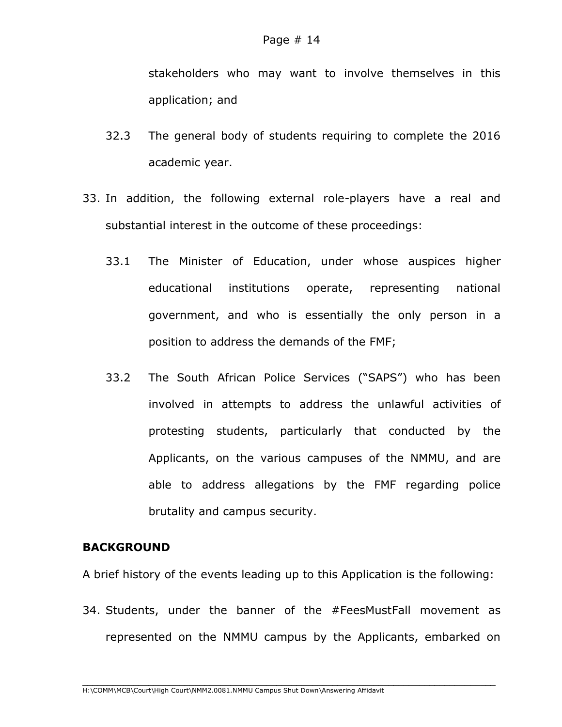stakeholders who may want to involve themselves in this application; and

- 32.3 The general body of students requiring to complete the 2016 academic year.
- 33. In addition, the following external role-players have a real and substantial interest in the outcome of these proceedings:
	- 33.1 The Minister of Education, under whose auspices higher educational institutions operate, representing national government, and who is essentially the only person in a position to address the demands of the FMF;
	- 33.2 The South African Police Services ("SAPS") who has been involved in attempts to address the unlawful activities of protesting students, particularly that conducted by the Applicants, on the various campuses of the NMMU, and are able to address allegations by the FMF regarding police brutality and campus security.

## **BACKGROUND**

A brief history of the events leading up to this Application is the following:

34. Students, under the banner of the #FeesMustFall movement as represented on the NMMU campus by the Applicants, embarked on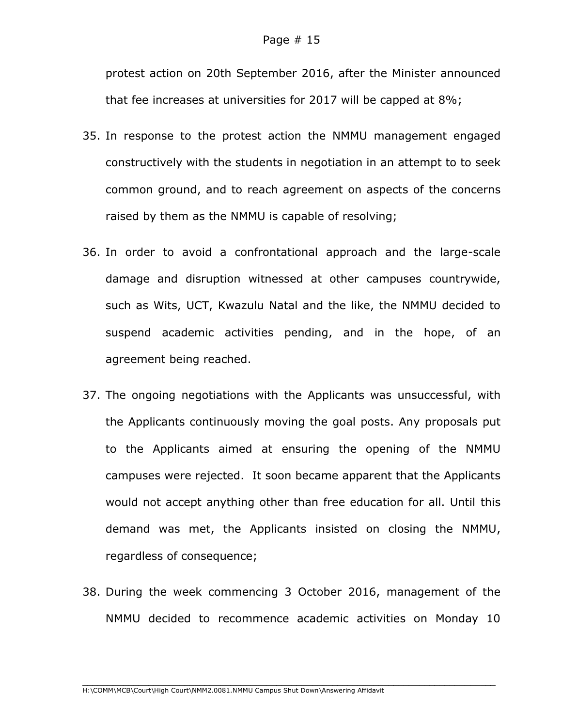protest action on 20th September 2016, after the Minister announced that fee increases at universities for 2017 will be capped at 8%;

- 35. In response to the protest action the NMMU management engaged constructively with the students in negotiation in an attempt to to seek common ground, and to reach agreement on aspects of the concerns raised by them as the NMMU is capable of resolving;
- 36. In order to avoid a confrontational approach and the large-scale damage and disruption witnessed at other campuses countrywide, such as Wits, UCT, Kwazulu Natal and the like, the NMMU decided to suspend academic activities pending, and in the hope, of an agreement being reached.
- 37. The ongoing negotiations with the Applicants was unsuccessful, with the Applicants continuously moving the goal posts. Any proposals put to the Applicants aimed at ensuring the opening of the NMMU campuses were rejected. It soon became apparent that the Applicants would not accept anything other than free education for all. Until this demand was met, the Applicants insisted on closing the NMMU, regardless of consequence;
- 38. During the week commencing 3 October 2016, management of the NMMU decided to recommence academic activities on Monday 10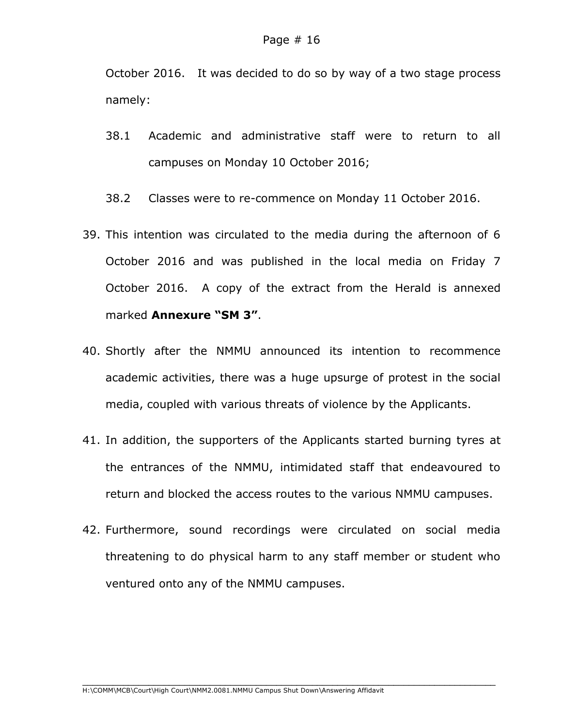October 2016. It was decided to do so by way of a two stage process namely:

- 38.1 Academic and administrative staff were to return to all campuses on Monday 10 October 2016;
- 38.2 Classes were to re-commence on Monday 11 October 2016.
- 39. This intention was circulated to the media during the afternoon of 6 October 2016 and was published in the local media on Friday 7 October 2016. A copy of the extract from the Herald is annexed marked **Annexure "SM 3"**.
- 40. Shortly after the NMMU announced its intention to recommence academic activities, there was a huge upsurge of protest in the social media, coupled with various threats of violence by the Applicants.
- 41. In addition, the supporters of the Applicants started burning tyres at the entrances of the NMMU, intimidated staff that endeavoured to return and blocked the access routes to the various NMMU campuses.
- 42. Furthermore, sound recordings were circulated on social media threatening to do physical harm to any staff member or student who ventured onto any of the NMMU campuses.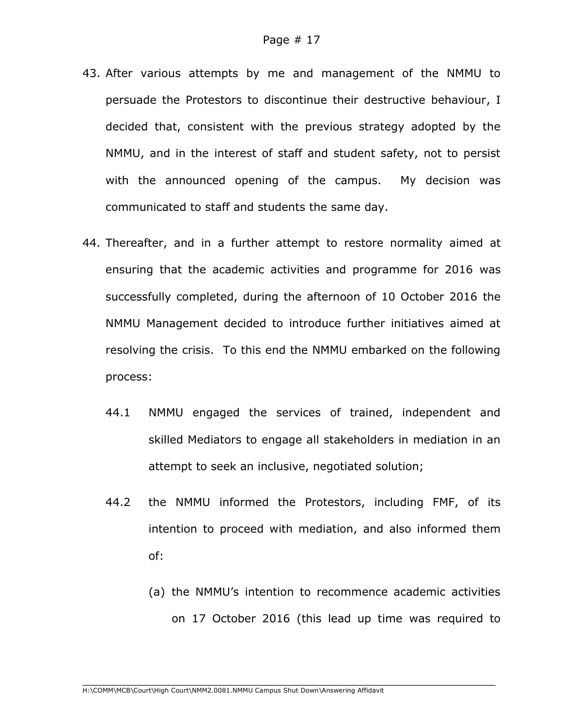- 43. After various attempts by me and management of the NMMU to persuade the Protestors to discontinue their destructive behaviour, I decided that, consistent with the previous strategy adopted by the NMMU, and in the interest of staff and student safety, not to persist with the announced opening of the campus. My decision was communicated to staff and students the same day.
- 44. Thereafter, and in a further attempt to restore normality aimed at ensuring that the academic activities and programme for 2016 was successfully completed, during the afternoon of 10 October 2016 the NMMU Management decided to introduce further initiatives aimed at resolving the crisis. To this end the NMMU embarked on the following process:
	- 44.1 NMMU engaged the services of trained, independent and skilled Mediators to engage all stakeholders in mediation in an attempt to seek an inclusive, negotiated solution;
	- 44.2 the NMMU informed the Protestors, including FMF, of its intention to proceed with mediation, and also informed them of:

(a) the NMMU's intention to recommence academic activities on 17 October 2016 (this lead up time was required to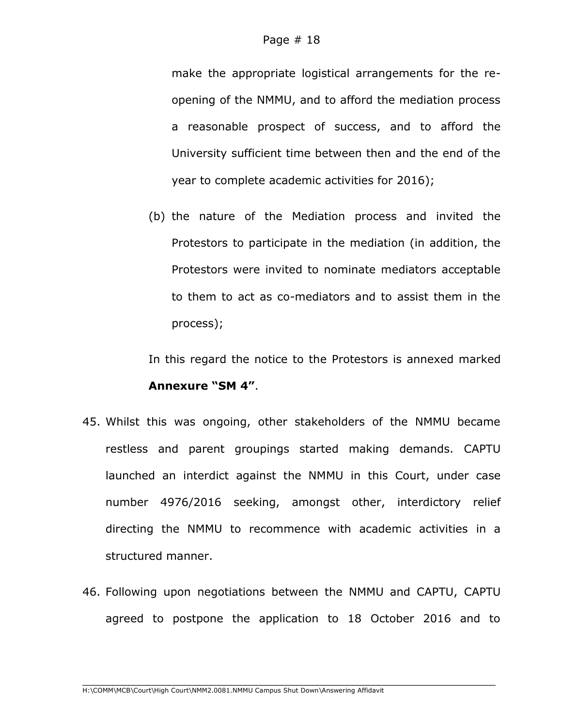make the appropriate logistical arrangements for the reopening of the NMMU, and to afford the mediation process a reasonable prospect of success, and to afford the University sufficient time between then and the end of the year to complete academic activities for 2016);

(b) the nature of the Mediation process and invited the Protestors to participate in the mediation (in addition, the Protestors were invited to nominate mediators acceptable to them to act as co-mediators and to assist them in the process);

In this regard the notice to the Protestors is annexed marked **Annexure "SM 4"**.

- 45. Whilst this was ongoing, other stakeholders of the NMMU became restless and parent groupings started making demands. CAPTU launched an interdict against the NMMU in this Court, under case number 4976/2016 seeking, amongst other, interdictory relief directing the NMMU to recommence with academic activities in a structured manner.
- 46. Following upon negotiations between the NMMU and CAPTU, CAPTU agreed to postpone the application to 18 October 2016 and to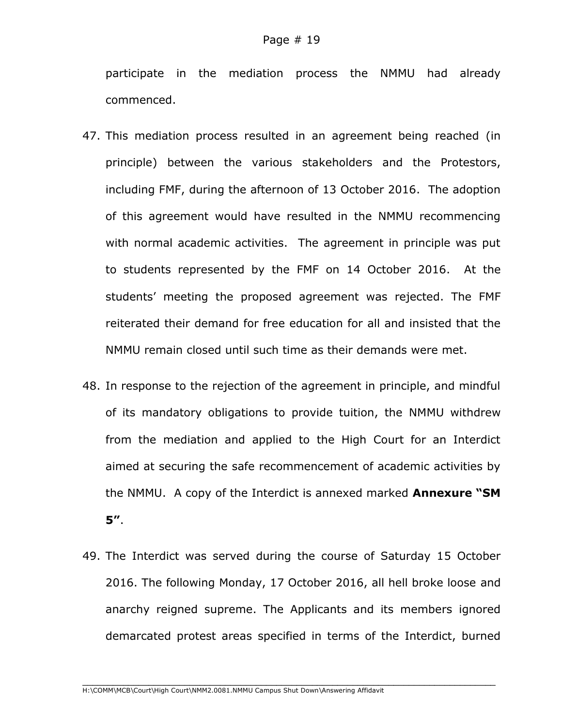participate in the mediation process the NMMU had already commenced.

- 47. This mediation process resulted in an agreement being reached (in principle) between the various stakeholders and the Protestors, including FMF, during the afternoon of 13 October 2016. The adoption of this agreement would have resulted in the NMMU recommencing with normal academic activities. The agreement in principle was put to students represented by the FMF on 14 October 2016. At the students' meeting the proposed agreement was rejected. The FMF reiterated their demand for free education for all and insisted that the NMMU remain closed until such time as their demands were met.
- 48. In response to the rejection of the agreement in principle, and mindful of its mandatory obligations to provide tuition, the NMMU withdrew from the mediation and applied to the High Court for an Interdict aimed at securing the safe recommencement of academic activities by the NMMU. A copy of the Interdict is annexed marked **Annexure "SM 5"**.
- 49. The Interdict was served during the course of Saturday 15 October 2016. The following Monday, 17 October 2016, all hell broke loose and anarchy reigned supreme. The Applicants and its members ignored demarcated protest areas specified in terms of the Interdict, burned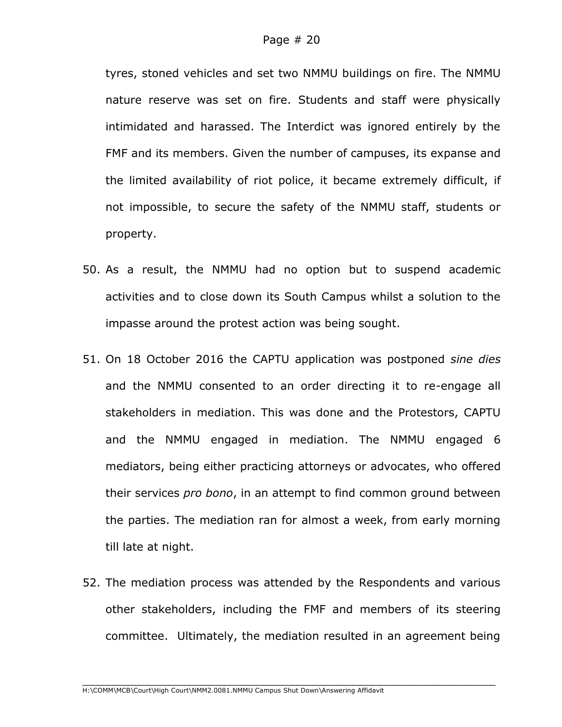tyres, stoned vehicles and set two NMMU buildings on fire. The NMMU nature reserve was set on fire. Students and staff were physically intimidated and harassed. The Interdict was ignored entirely by the FMF and its members. Given the number of campuses, its expanse and the limited availability of riot police, it became extremely difficult, if not impossible, to secure the safety of the NMMU staff, students or property.

- 50. As a result, the NMMU had no option but to suspend academic activities and to close down its South Campus whilst a solution to the impasse around the protest action was being sought.
- 51. On 18 October 2016 the CAPTU application was postponed *sine dies* and the NMMU consented to an order directing it to re-engage all stakeholders in mediation. This was done and the Protestors, CAPTU and the NMMU engaged in mediation. The NMMU engaged 6 mediators, being either practicing attorneys or advocates, who offered their services *pro bono*, in an attempt to find common ground between the parties. The mediation ran for almost a week, from early morning till late at night.
- 52. The mediation process was attended by the Respondents and various other stakeholders, including the FMF and members of its steering committee. Ultimately, the mediation resulted in an agreement being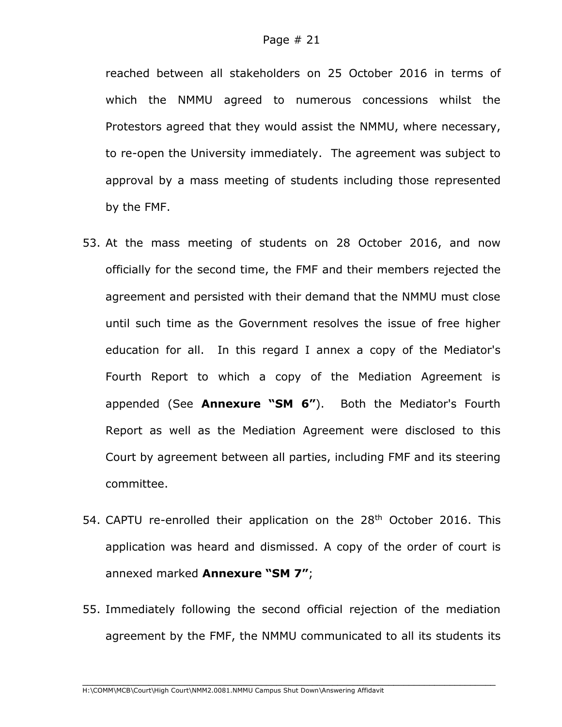reached between all stakeholders on 25 October 2016 in terms of which the NMMU agreed to numerous concessions whilst the Protestors agreed that they would assist the NMMU, where necessary, to re-open the University immediately. The agreement was subject to approval by a mass meeting of students including those represented by the FMF.

- 53. At the mass meeting of students on 28 October 2016, and now officially for the second time, the FMF and their members rejected the agreement and persisted with their demand that the NMMU must close until such time as the Government resolves the issue of free higher education for all. In this regard I annex a copy of the Mediator's Fourth Report to which a copy of the Mediation Agreement is appended (See **Annexure "SM 6"**). Both the Mediator's Fourth Report as well as the Mediation Agreement were disclosed to this Court by agreement between all parties, including FMF and its steering committee.
- 54. CAPTU re-enrolled their application on the 28<sup>th</sup> October 2016. This application was heard and dismissed. A copy of the order of court is annexed marked **Annexure "SM 7"**;
- 55. Immediately following the second official rejection of the mediation agreement by the FMF, the NMMU communicated to all its students its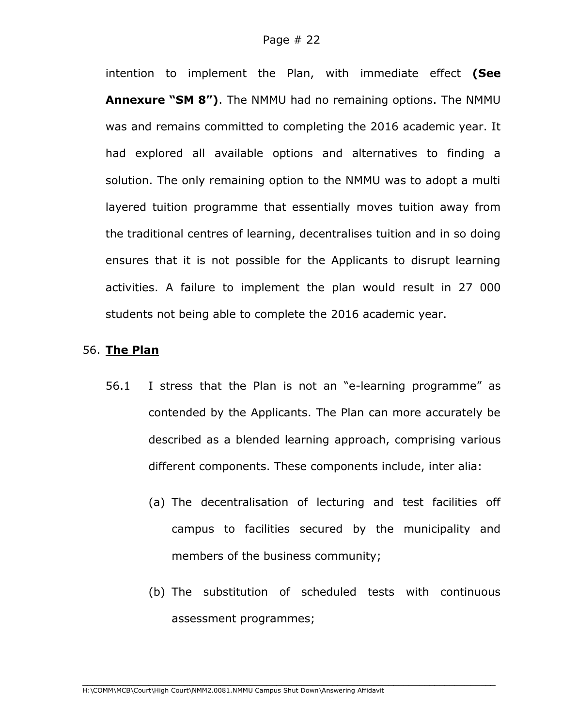intention to implement the Plan, with immediate effect **(See Annexure "SM 8")**. The NMMU had no remaining options. The NMMU was and remains committed to completing the 2016 academic year. It had explored all available options and alternatives to finding a solution. The only remaining option to the NMMU was to adopt a multi layered tuition programme that essentially moves tuition away from the traditional centres of learning, decentralises tuition and in so doing ensures that it is not possible for the Applicants to disrupt learning activities. A failure to implement the plan would result in 27 000 students not being able to complete the 2016 academic year.

### 56. **The Plan**

- 56.1 I stress that the Plan is not an "e-learning programme" as contended by the Applicants. The Plan can more accurately be described as a blended learning approach, comprising various different components. These components include, inter alia:
	- (a) The decentralisation of lecturing and test facilities off campus to facilities secured by the municipality and members of the business community;
	- (b) The substitution of scheduled tests with continuous assessment programmes;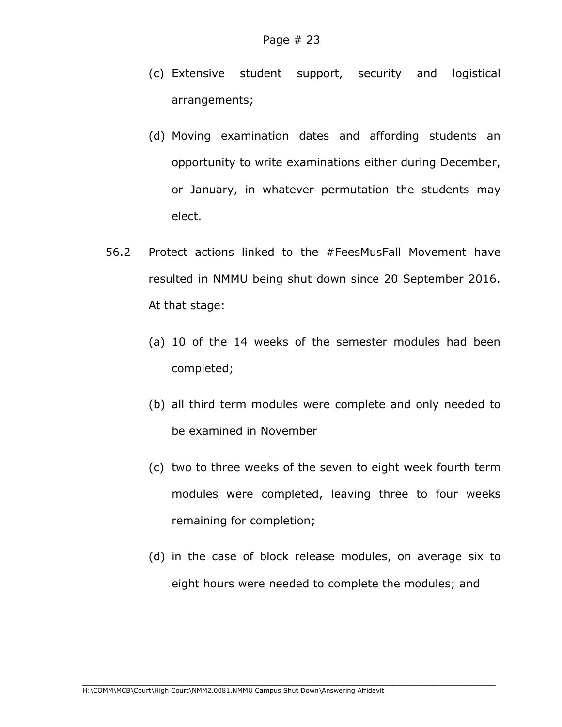- (c) Extensive student support, security and logistical arrangements;
- (d) Moving examination dates and affording students an opportunity to write examinations either during December, or January, in whatever permutation the students may elect.
- 56.2 Protect actions linked to the #FeesMusFall Movement have resulted in NMMU being shut down since 20 September 2016. At that stage:
	- (a) 10 of the 14 weeks of the semester modules had been completed;
	- (b) all third term modules were complete and only needed to be examined in November
	- (c) two to three weeks of the seven to eight week fourth term modules were completed, leaving three to four weeks remaining for completion;
	- (d) in the case of block release modules, on average six to eight hours were needed to complete the modules; and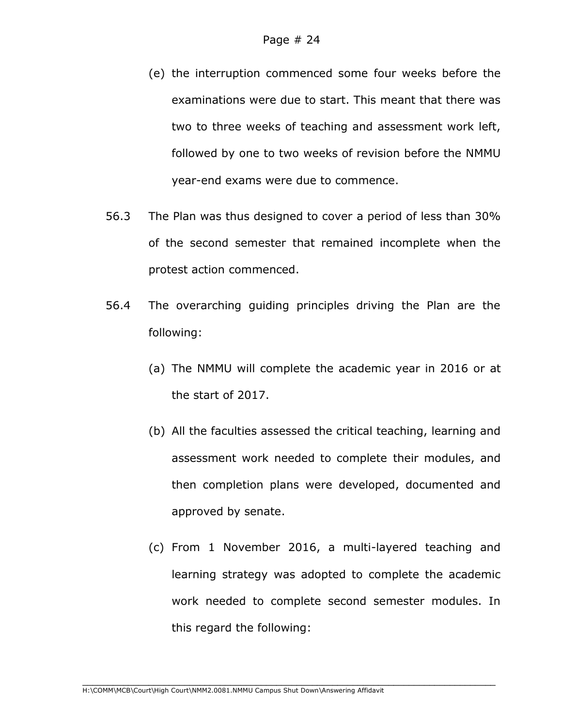- (e) the interruption commenced some four weeks before the examinations were due to start. This meant that there was two to three weeks of teaching and assessment work left, followed by one to two weeks of revision before the NMMU year-end exams were due to commence.
- 56.3 The Plan was thus designed to cover a period of less than 30% of the second semester that remained incomplete when the protest action commenced.
- 56.4 The overarching guiding principles driving the Plan are the following:
	- (a) The NMMU will complete the academic year in 2016 or at the start of 2017.
	- (b) All the faculties assessed the critical teaching, learning and assessment work needed to complete their modules, and then completion plans were developed, documented and approved by senate.
	- (c) From 1 November 2016, a multi-layered teaching and learning strategy was adopted to complete the academic work needed to complete second semester modules. In this regard the following: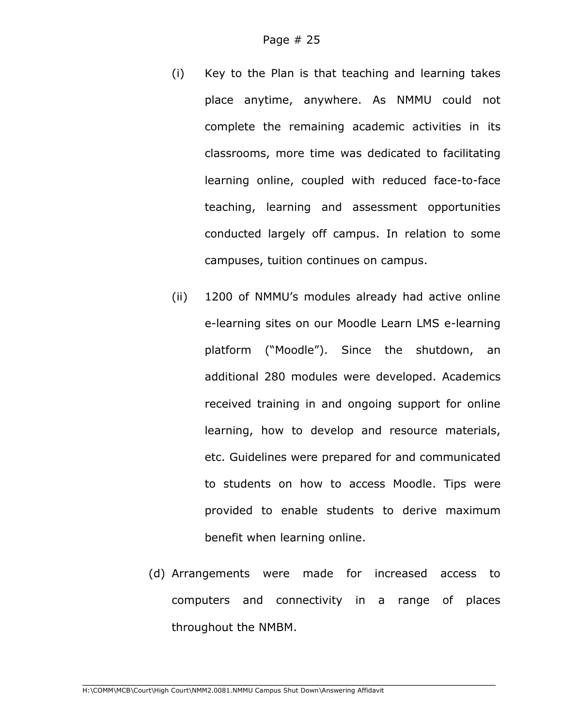- (i) Key to the Plan is that teaching and learning takes place anytime, anywhere. As NMMU could not complete the remaining academic activities in its classrooms, more time was dedicated to facilitating learning online, coupled with reduced face-to-face teaching, learning and assessment opportunities conducted largely off campus. In relation to some campuses, tuition continues on campus.
- (ii) 1200 of NMMU's modules already had active online e-learning sites on our Moodle Learn LMS e-learning platform ("Moodle"). Since the shutdown, an additional 280 modules were developed. Academics received training in and ongoing support for online learning, how to develop and resource materials, etc. Guidelines were prepared for and communicated to students on how to access Moodle. Tips were provided to enable students to derive maximum benefit when learning online.
- (d) Arrangements were made for increased access to computers and connectivity in a range of places throughout the NMBM.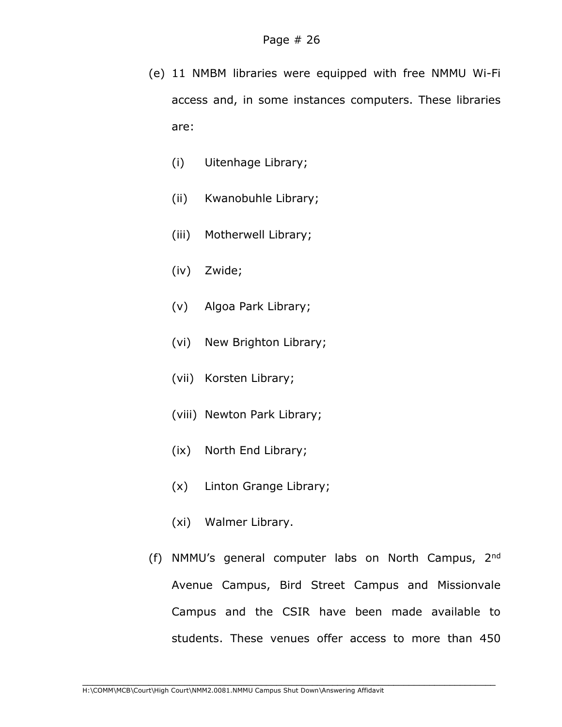- (e) 11 NMBM libraries were equipped with free NMMU Wi-Fi access and, in some instances computers. These libraries are:
	- (i) Uitenhage Library;
	- (ii) Kwanobuhle Library;
	- (iii) Motherwell Library;
	- (iv) Zwide;
	- (v) Algoa Park Library;
	- (vi) New Brighton Library;
	- (vii) Korsten Library;
	- (viii) Newton Park Library;
	- (ix) North End Library;
	- (x) Linton Grange Library;
	- (xi) Walmer Library.
- (f) NMMU's general computer labs on North Campus, 2nd Avenue Campus, Bird Street Campus and Missionvale Campus and the CSIR have been made available to students. These venues offer access to more than 450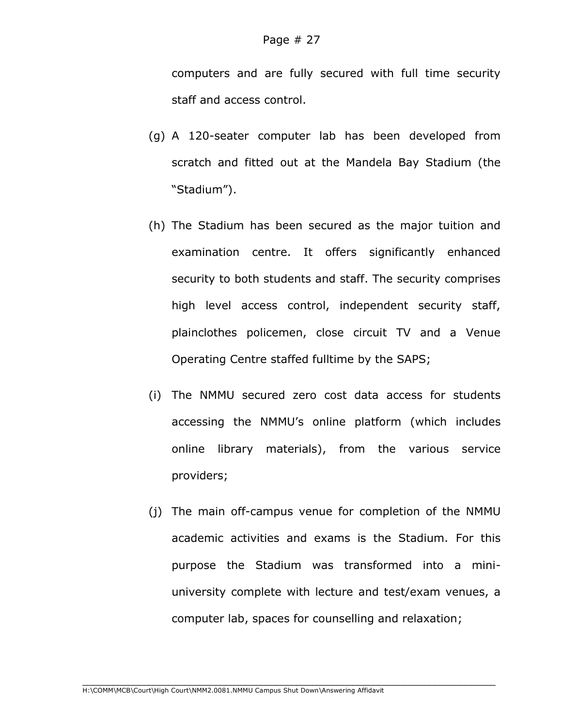computers and are fully secured with full time security staff and access control.

- (g) A 120-seater computer lab has been developed from scratch and fitted out at the Mandela Bay Stadium (the "Stadium").
- (h) The Stadium has been secured as the major tuition and examination centre. It offers significantly enhanced security to both students and staff. The security comprises high level access control, independent security staff, plainclothes policemen, close circuit TV and a Venue Operating Centre staffed fulltime by the SAPS;
- (i) The NMMU secured zero cost data access for students accessing the NMMU's online platform (which includes online library materials), from the various service providers;
- (j) The main off-campus venue for completion of the NMMU academic activities and exams is the Stadium. For this purpose the Stadium was transformed into a miniuniversity complete with lecture and test/exam venues, a computer lab, spaces for counselling and relaxation;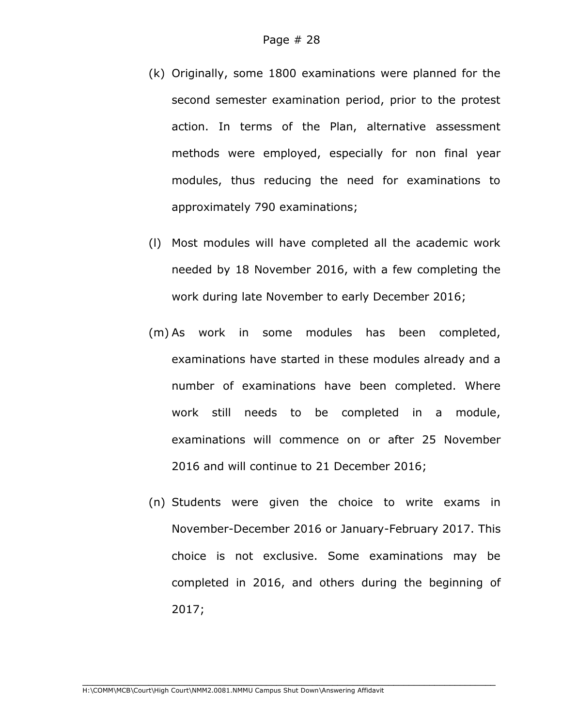- (k) Originally, some 1800 examinations were planned for the second semester examination period, prior to the protest action. In terms of the Plan, alternative assessment methods were employed, especially for non final year modules, thus reducing the need for examinations to approximately 790 examinations;
- (l) Most modules will have completed all the academic work needed by 18 November 2016, with a few completing the work during late November to early December 2016;
- (m) As work in some modules has been completed, examinations have started in these modules already and a number of examinations have been completed. Where work still needs to be completed in a module, examinations will commence on or after 25 November 2016 and will continue to 21 December 2016;
- (n) Students were given the choice to write exams in November-December 2016 or January-February 2017. This choice is not exclusive. Some examinations may be completed in 2016, and others during the beginning of 2017;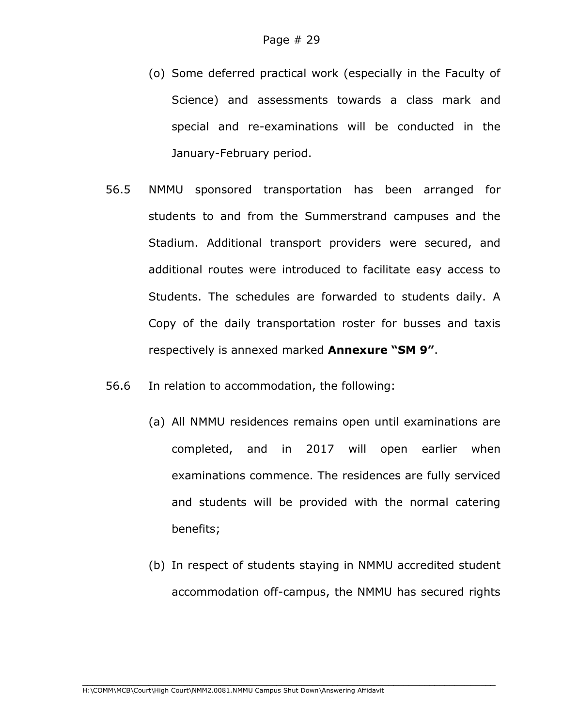- (o) Some deferred practical work (especially in the Faculty of Science) and assessments towards a class mark and special and re-examinations will be conducted in the January-February period.
- 56.5 NMMU sponsored transportation has been arranged for students to and from the Summerstrand campuses and the Stadium. Additional transport providers were secured, and additional routes were introduced to facilitate easy access to Students. The schedules are forwarded to students daily. A Copy of the daily transportation roster for busses and taxis respectively is annexed marked **Annexure "SM 9"**.
- 56.6 In relation to accommodation, the following:
	- (a) All NMMU residences remains open until examinations are completed, and in 2017 will open earlier when examinations commence. The residences are fully serviced and students will be provided with the normal catering benefits;
	- (b) In respect of students staying in NMMU accredited student accommodation off-campus, the NMMU has secured rights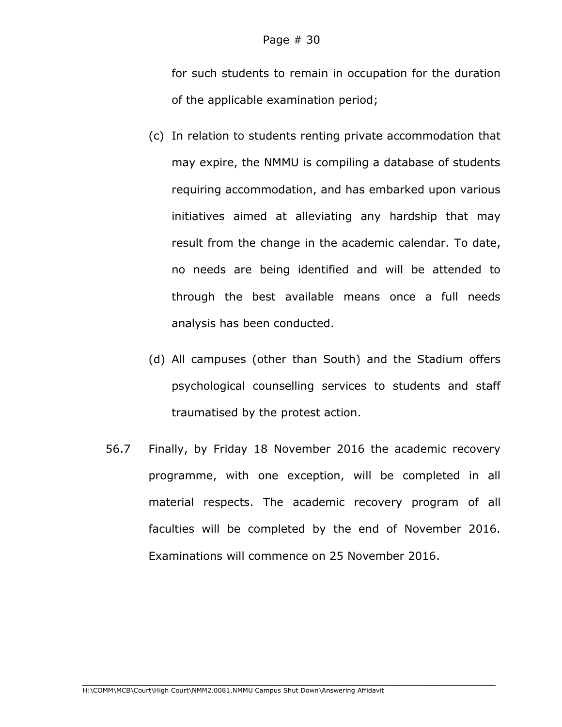for such students to remain in occupation for the duration of the applicable examination period;

- (c) In relation to students renting private accommodation that may expire, the NMMU is compiling a database of students requiring accommodation, and has embarked upon various initiatives aimed at alleviating any hardship that may result from the change in the academic calendar. To date, no needs are being identified and will be attended to through the best available means once a full needs analysis has been conducted.
- (d) All campuses (other than South) and the Stadium offers psychological counselling services to students and staff traumatised by the protest action.
- 56.7 Finally, by Friday 18 November 2016 the academic recovery programme, with one exception, will be completed in all material respects. The academic recovery program of all faculties will be completed by the end of November 2016. Examinations will commence on 25 November 2016.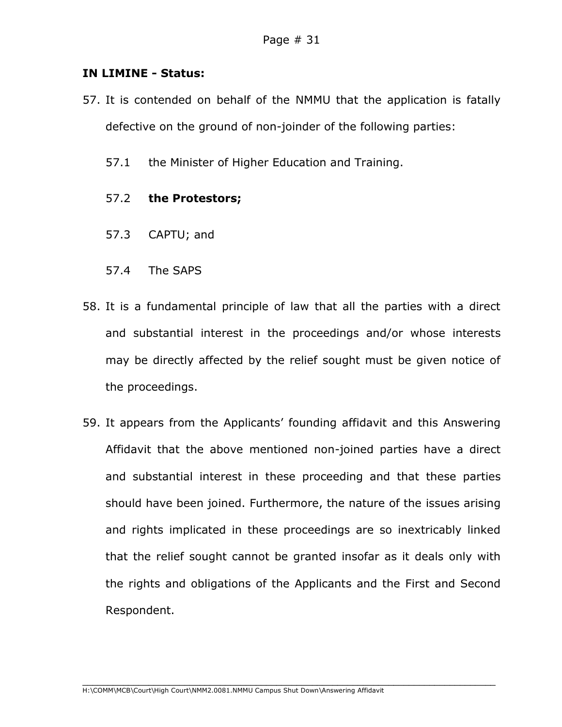#### **IN LIMINE - Status:**

- 57. It is contended on behalf of the NMMU that the application is fatally defective on the ground of non-joinder of the following parties:
	- 57.1 the Minister of Higher Education and Training.

#### 57.2 **the Protestors;**

- 57.3 CAPTU; and
- 57.4 The SAPS
- 58. It is a fundamental principle of law that all the parties with a direct and substantial interest in the proceedings and/or whose interests may be directly affected by the relief sought must be given notice of the proceedings.
- 59. It appears from the Applicants' founding affidavit and this Answering Affidavit that the above mentioned non-joined parties have a direct and substantial interest in these proceeding and that these parties should have been joined. Furthermore, the nature of the issues arising and rights implicated in these proceedings are so inextricably linked that the relief sought cannot be granted insofar as it deals only with the rights and obligations of the Applicants and the First and Second Respondent.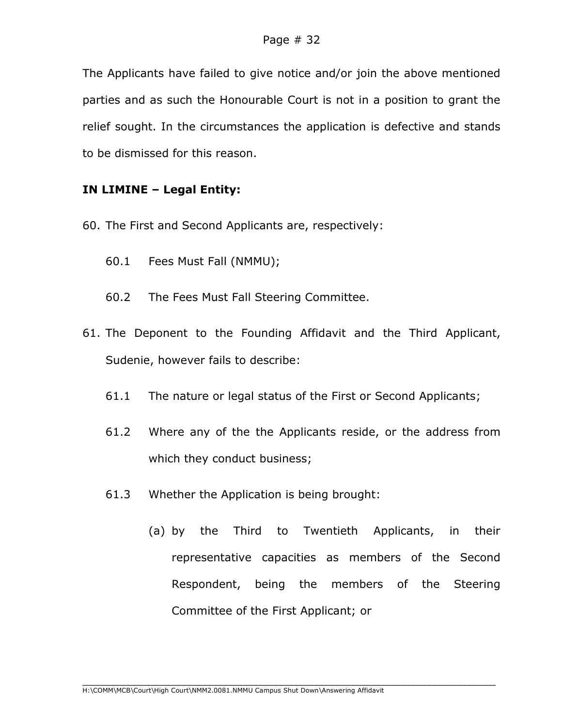The Applicants have failed to give notice and/or join the above mentioned parties and as such the Honourable Court is not in a position to grant the relief sought. In the circumstances the application is defective and stands to be dismissed for this reason.

## **IN LIMINE – Legal Entity:**

- 60. The First and Second Applicants are, respectively:
	- 60.1 Fees Must Fall (NMMU);
	- 60.2 The Fees Must Fall Steering Committee.
- 61. The Deponent to the Founding Affidavit and the Third Applicant, Sudenie, however fails to describe:
	- 61.1 The nature or legal status of the First or Second Applicants;
	- 61.2 Where any of the the Applicants reside, or the address from which they conduct business;
	- 61.3 Whether the Application is being brought:
		- (a) by the Third to Twentieth Applicants, in their representative capacities as members of the Second Respondent, being the members of the Steering Committee of the First Applicant; or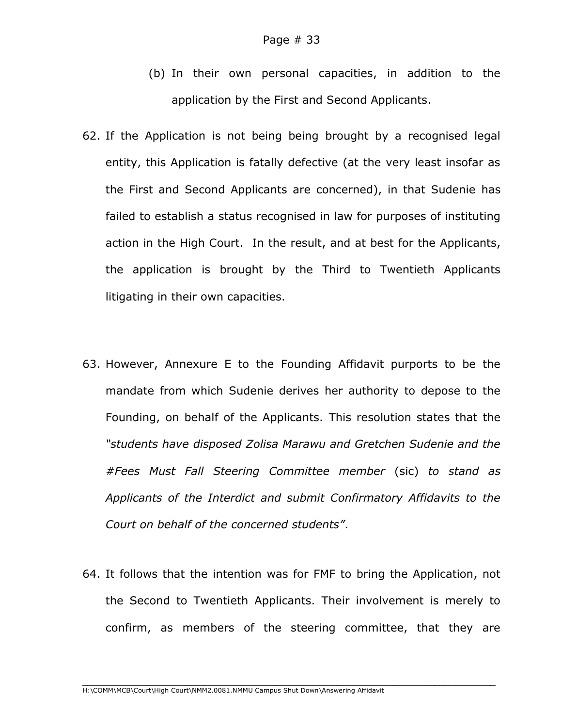- (b) In their own personal capacities, in addition to the application by the First and Second Applicants.
- 62. If the Application is not being being brought by a recognised legal entity, this Application is fatally defective (at the very least insofar as the First and Second Applicants are concerned), in that Sudenie has failed to establish a status recognised in law for purposes of instituting action in the High Court. In the result, and at best for the Applicants, the application is brought by the Third to Twentieth Applicants litigating in their own capacities.
- 63. However, Annexure E to the Founding Affidavit purports to be the mandate from which Sudenie derives her authority to depose to the Founding, on behalf of the Applicants. This resolution states that the *"students have disposed Zolisa Marawu and Gretchen Sudenie and the #Fees Must Fall Steering Committee member* (sic) *to stand as Applicants of the Interdict and submit Confirmatory Affidavits to the Court on behalf of the concerned students"*.
- 64. It follows that the intention was for FMF to bring the Application, not the Second to Twentieth Applicants. Their involvement is merely to confirm, as members of the steering committee, that they are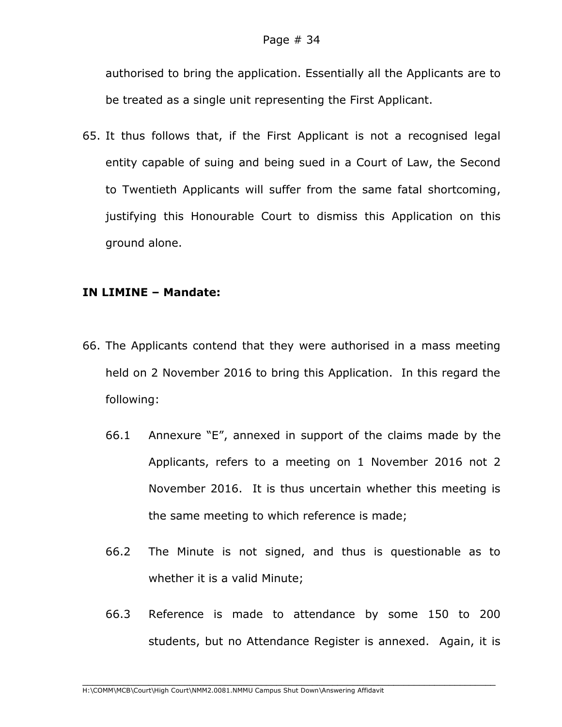authorised to bring the application. Essentially all the Applicants are to be treated as a single unit representing the First Applicant.

65. It thus follows that, if the First Applicant is not a recognised legal entity capable of suing and being sued in a Court of Law, the Second to Twentieth Applicants will suffer from the same fatal shortcoming, justifying this Honourable Court to dismiss this Application on this ground alone.

## **IN LIMINE – Mandate:**

- 66. The Applicants contend that they were authorised in a mass meeting held on 2 November 2016 to bring this Application. In this regard the following:
	- 66.1 Annexure "E", annexed in support of the claims made by the Applicants, refers to a meeting on 1 November 2016 not 2 November 2016. It is thus uncertain whether this meeting is the same meeting to which reference is made;
	- 66.2 The Minute is not signed, and thus is questionable as to whether it is a valid Minute;
	- 66.3 Reference is made to attendance by some 150 to 200 students, but no Attendance Register is annexed. Again, it is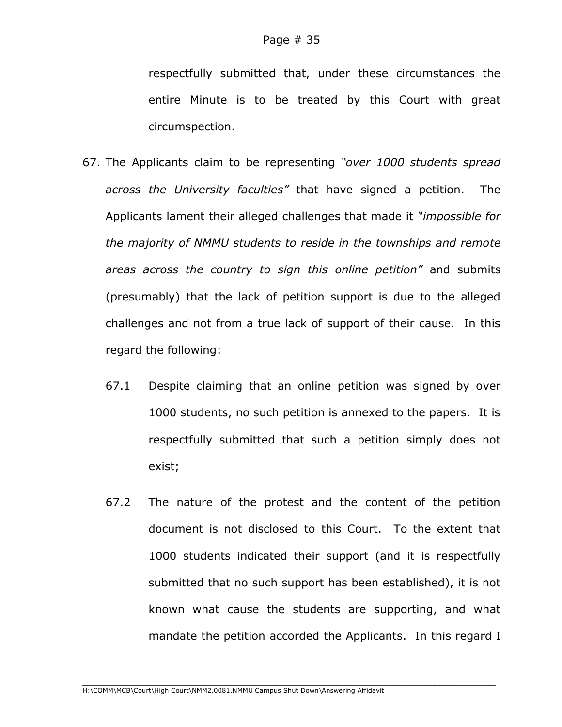respectfully submitted that, under these circumstances the entire Minute is to be treated by this Court with great circumspection.

- 67. The Applicants claim to be representing *"over 1000 students spread across the University faculties"* that have signed a petition. The Applicants lament their alleged challenges that made it *"impossible for the majority of NMMU students to reside in the townships and remote areas across the country to sign this online petition"* and submits (presumably) that the lack of petition support is due to the alleged challenges and not from a true lack of support of their cause. In this regard the following:
	- 67.1 Despite claiming that an online petition was signed by over 1000 students, no such petition is annexed to the papers. It is respectfully submitted that such a petition simply does not exist;
	- 67.2 The nature of the protest and the content of the petition document is not disclosed to this Court. To the extent that 1000 students indicated their support (and it is respectfully submitted that no such support has been established), it is not known what cause the students are supporting, and what mandate the petition accorded the Applicants. In this regard I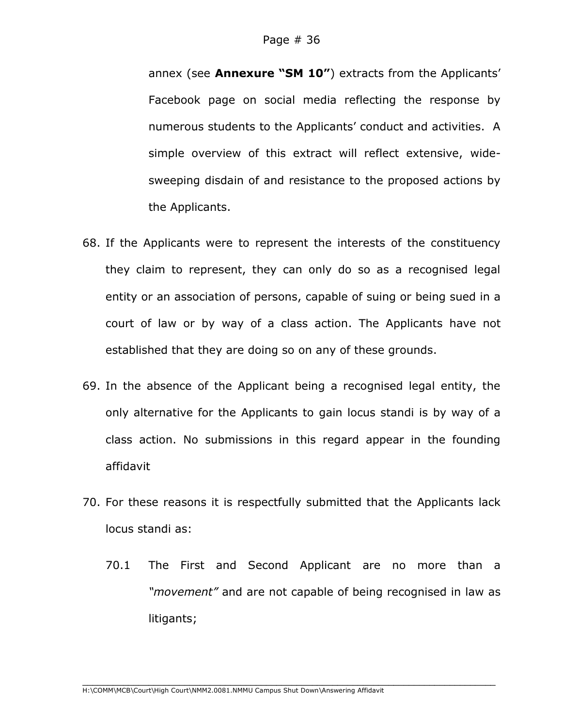annex (see **Annexure "SM 10"**) extracts from the Applicants' Facebook page on social media reflecting the response by numerous students to the Applicants' conduct and activities. A simple overview of this extract will reflect extensive, widesweeping disdain of and resistance to the proposed actions by the Applicants.

- 68. If the Applicants were to represent the interests of the constituency they claim to represent, they can only do so as a recognised legal entity or an association of persons, capable of suing or being sued in a court of law or by way of a class action. The Applicants have not established that they are doing so on any of these grounds.
- 69. In the absence of the Applicant being a recognised legal entity, the only alternative for the Applicants to gain locus standi is by way of a class action. No submissions in this regard appear in the founding affidavit
- 70. For these reasons it is respectfully submitted that the Applicants lack locus standi as:
	- 70.1 The First and Second Applicant are no more than a *"movement"* and are not capable of being recognised in law as litigants;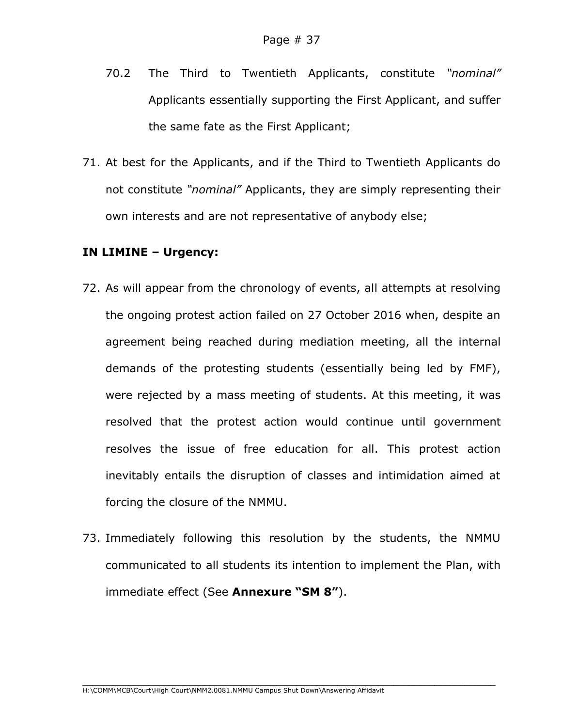- 70.2 The Third to Twentieth Applicants, constitute *"nominal"*  Applicants essentially supporting the First Applicant, and suffer the same fate as the First Applicant;
- 71. At best for the Applicants, and if the Third to Twentieth Applicants do not constitute *"nominal"* Applicants, they are simply representing their own interests and are not representative of anybody else;

#### **IN LIMINE – Urgency:**

- 72. As will appear from the chronology of events, all attempts at resolving the ongoing protest action failed on 27 October 2016 when, despite an agreement being reached during mediation meeting, all the internal demands of the protesting students (essentially being led by FMF), were rejected by a mass meeting of students. At this meeting, it was resolved that the protest action would continue until government resolves the issue of free education for all. This protest action inevitably entails the disruption of classes and intimidation aimed at forcing the closure of the NMMU.
- 73. Immediately following this resolution by the students, the NMMU communicated to all students its intention to implement the Plan, with immediate effect (See **Annexure "SM 8"**).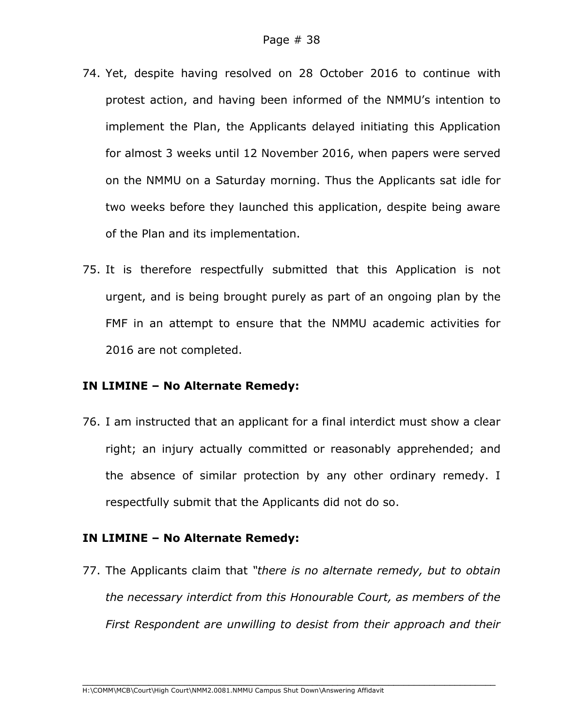- 74. Yet, despite having resolved on 28 October 2016 to continue with protest action, and having been informed of the NMMU's intention to implement the Plan, the Applicants delayed initiating this Application for almost 3 weeks until 12 November 2016, when papers were served on the NMMU on a Saturday morning. Thus the Applicants sat idle for two weeks before they launched this application, despite being aware of the Plan and its implementation.
- 75. It is therefore respectfully submitted that this Application is not urgent, and is being brought purely as part of an ongoing plan by the FMF in an attempt to ensure that the NMMU academic activities for 2016 are not completed.

#### **IN LIMINE – No Alternate Remedy:**

76. I am instructed that an applicant for a final interdict must show a clear right; an injury actually committed or reasonably apprehended; and the absence of similar protection by any other ordinary remedy. I respectfully submit that the Applicants did not do so.

#### **IN LIMINE – No Alternate Remedy:**

77. The Applicants claim that *"there is no alternate remedy, but to obtain the necessary interdict from this Honourable Court, as members of the First Respondent are unwilling to desist from their approach and their*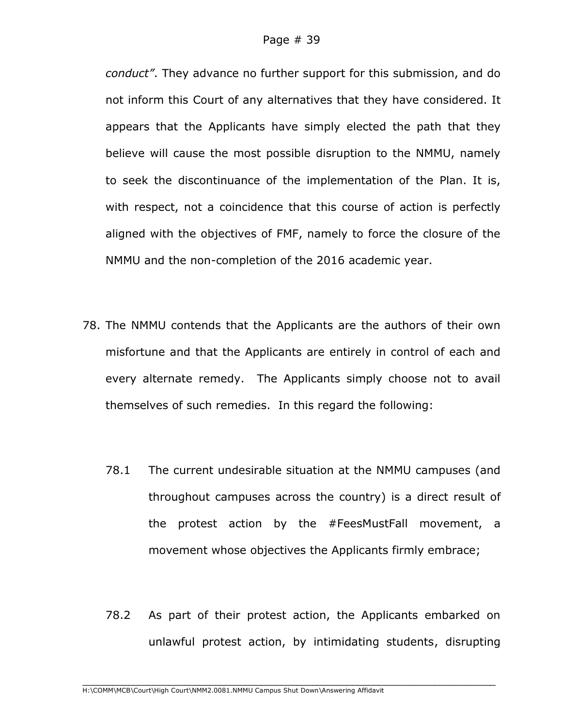*conduct"*. They advance no further support for this submission, and do not inform this Court of any alternatives that they have considered. It appears that the Applicants have simply elected the path that they believe will cause the most possible disruption to the NMMU, namely to seek the discontinuance of the implementation of the Plan. It is, with respect, not a coincidence that this course of action is perfectly aligned with the objectives of FMF, namely to force the closure of the NMMU and the non-completion of the 2016 academic year.

- 78. The NMMU contends that the Applicants are the authors of their own misfortune and that the Applicants are entirely in control of each and every alternate remedy. The Applicants simply choose not to avail themselves of such remedies. In this regard the following:
	- 78.1 The current undesirable situation at the NMMU campuses (and throughout campuses across the country) is a direct result of the protest action by the #FeesMustFall movement, a movement whose objectives the Applicants firmly embrace;
	- 78.2 As part of their protest action, the Applicants embarked on unlawful protest action, by intimidating students, disrupting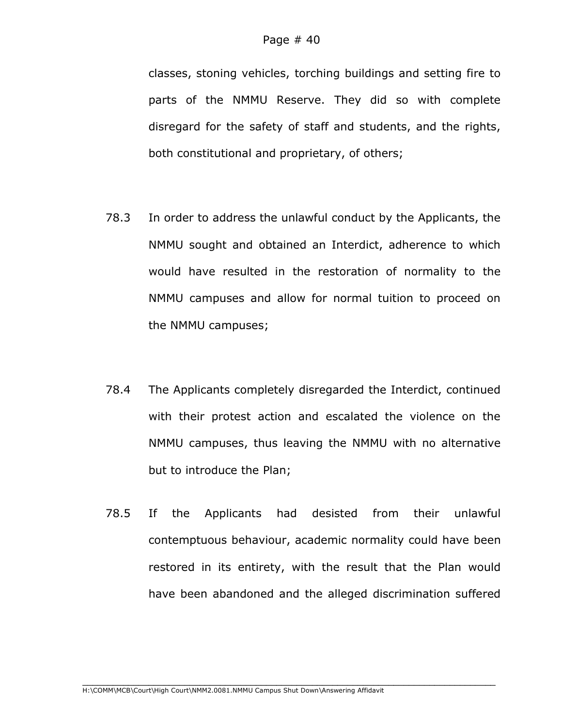classes, stoning vehicles, torching buildings and setting fire to parts of the NMMU Reserve. They did so with complete disregard for the safety of staff and students, and the rights, both constitutional and proprietary, of others;

- 78.3 In order to address the unlawful conduct by the Applicants, the NMMU sought and obtained an Interdict, adherence to which would have resulted in the restoration of normality to the NMMU campuses and allow for normal tuition to proceed on the NMMU campuses;
- 78.4 The Applicants completely disregarded the Interdict, continued with their protest action and escalated the violence on the NMMU campuses, thus leaving the NMMU with no alternative but to introduce the Plan;
- 78.5 If the Applicants had desisted from their unlawful contemptuous behaviour, academic normality could have been restored in its entirety, with the result that the Plan would have been abandoned and the alleged discrimination suffered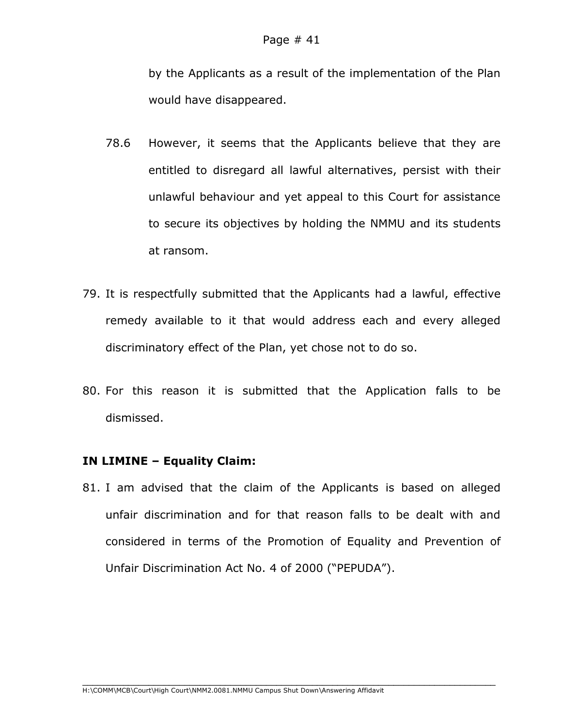by the Applicants as a result of the implementation of the Plan would have disappeared.

- 78.6 However, it seems that the Applicants believe that they are entitled to disregard all lawful alternatives, persist with their unlawful behaviour and yet appeal to this Court for assistance to secure its objectives by holding the NMMU and its students at ransom.
- 79. It is respectfully submitted that the Applicants had a lawful, effective remedy available to it that would address each and every alleged discriminatory effect of the Plan, yet chose not to do so.
- 80. For this reason it is submitted that the Application falls to be dismissed.

## **IN LIMINE – Equality Claim:**

81. I am advised that the claim of the Applicants is based on alleged unfair discrimination and for that reason falls to be dealt with and considered in terms of the Promotion of Equality and Prevention of Unfair Discrimination Act No. 4 of 2000 ("PEPUDA").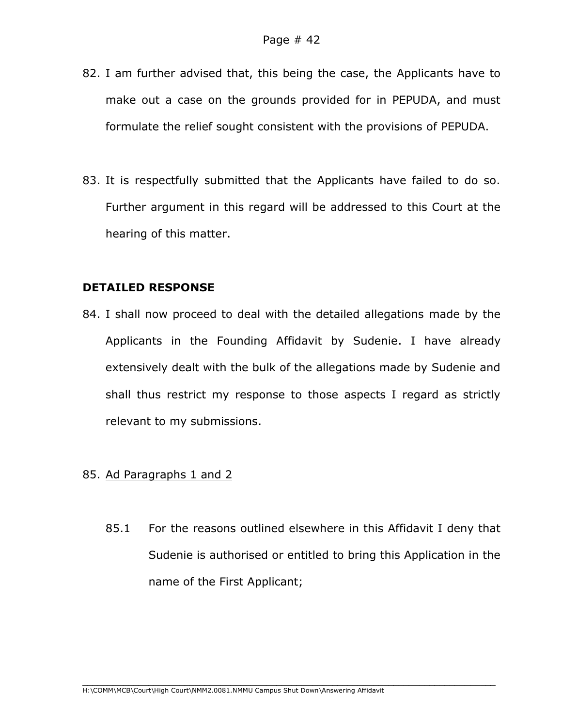- 82. I am further advised that, this being the case, the Applicants have to make out a case on the grounds provided for in PEPUDA, and must formulate the relief sought consistent with the provisions of PEPUDA.
- 83. It is respectfully submitted that the Applicants have failed to do so. Further argument in this regard will be addressed to this Court at the hearing of this matter.

#### **DETAILED RESPONSE**

- 84. I shall now proceed to deal with the detailed allegations made by the Applicants in the Founding Affidavit by Sudenie. I have already extensively dealt with the bulk of the allegations made by Sudenie and shall thus restrict my response to those aspects I regard as strictly relevant to my submissions.
- 85. Ad Paragraphs 1 and 2
	- 85.1 For the reasons outlined elsewhere in this Affidavit I deny that Sudenie is authorised or entitled to bring this Application in the name of the First Applicant;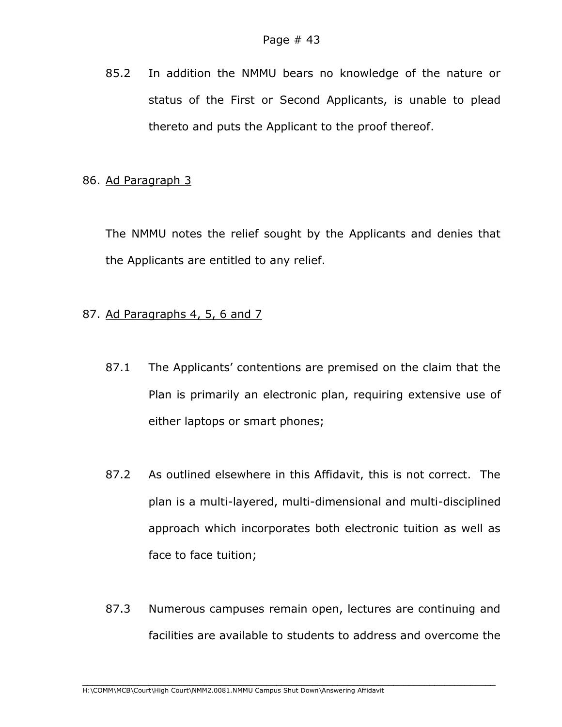85.2 In addition the NMMU bears no knowledge of the nature or status of the First or Second Applicants, is unable to plead thereto and puts the Applicant to the proof thereof.

## 86. Ad Paragraph 3

The NMMU notes the relief sought by the Applicants and denies that the Applicants are entitled to any relief.

## 87. Ad Paragraphs 4, 5, 6 and 7

- 87.1 The Applicants' contentions are premised on the claim that the Plan is primarily an electronic plan, requiring extensive use of either laptops or smart phones;
- 87.2 As outlined elsewhere in this Affidavit, this is not correct. The plan is a multi-layered, multi-dimensional and multi-disciplined approach which incorporates both electronic tuition as well as face to face tuition;
- 87.3 Numerous campuses remain open, lectures are continuing and facilities are available to students to address and overcome the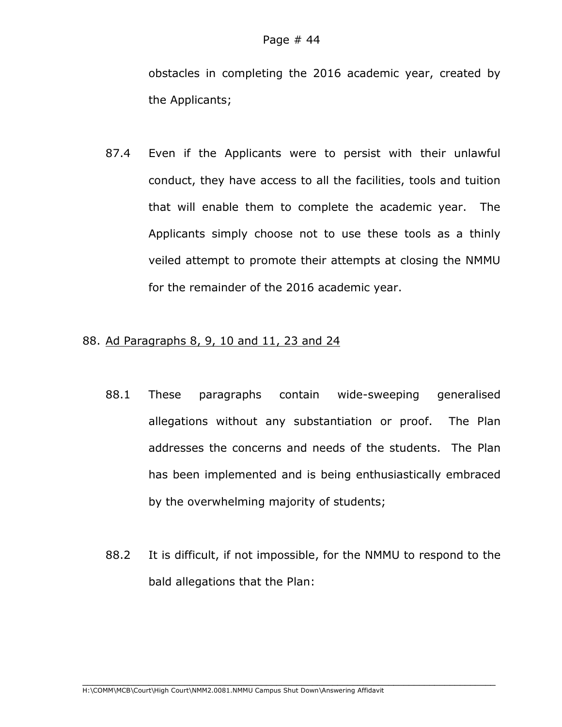obstacles in completing the 2016 academic year, created by the Applicants;

87.4 Even if the Applicants were to persist with their unlawful conduct, they have access to all the facilities, tools and tuition that will enable them to complete the academic year. The Applicants simply choose not to use these tools as a thinly veiled attempt to promote their attempts at closing the NMMU for the remainder of the 2016 academic year.

#### 88. Ad Paragraphs 8, 9, 10 and 11, 23 and 24

- 88.1 These paragraphs contain wide-sweeping generalised allegations without any substantiation or proof. The Plan addresses the concerns and needs of the students. The Plan has been implemented and is being enthusiastically embraced by the overwhelming majority of students;
- 88.2 It is difficult, if not impossible, for the NMMU to respond to the bald allegations that the Plan: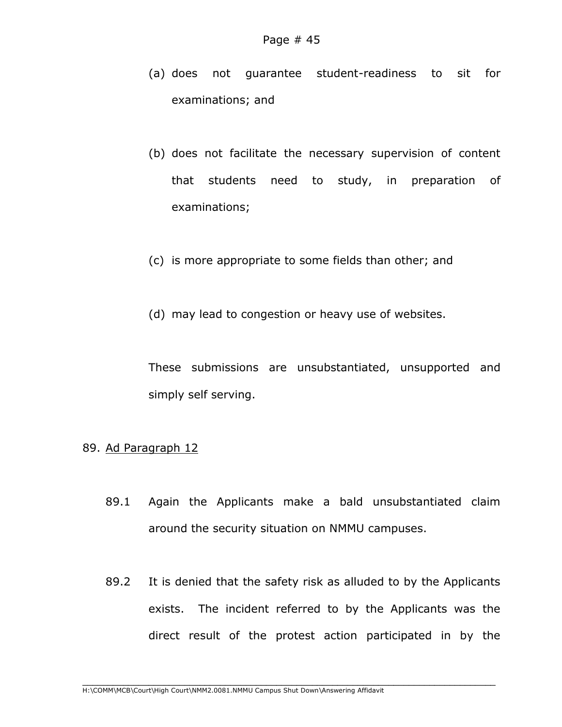- (a) does not guarantee student-readiness to sit for examinations; and
- (b) does not facilitate the necessary supervision of content that students need to study, in preparation of examinations;
- (c) is more appropriate to some fields than other; and
- (d) may lead to congestion or heavy use of websites.

These submissions are unsubstantiated, unsupported and simply self serving.

#### 89. Ad Paragraph 12

- 89.1 Again the Applicants make a bald unsubstantiated claim around the security situation on NMMU campuses.
- 89.2 It is denied that the safety risk as alluded to by the Applicants exists. The incident referred to by the Applicants was the direct result of the protest action participated in by the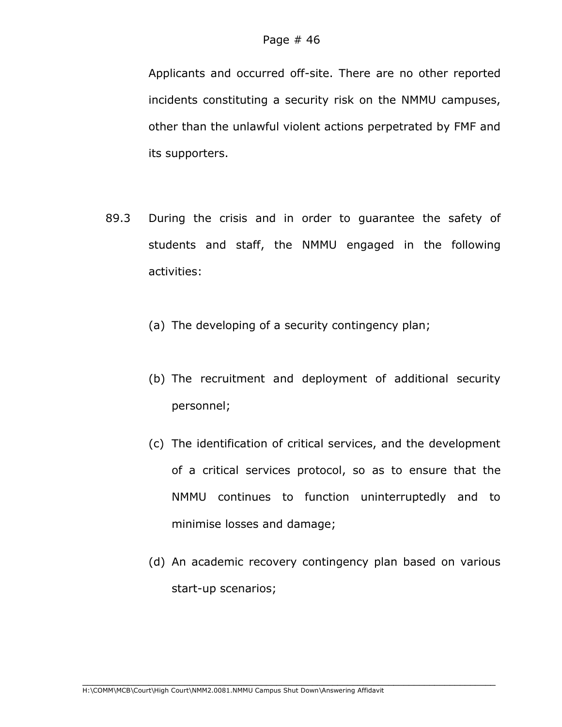Applicants and occurred off-site. There are no other reported incidents constituting a security risk on the NMMU campuses, other than the unlawful violent actions perpetrated by FMF and its supporters.

- 89.3 During the crisis and in order to guarantee the safety of students and staff, the NMMU engaged in the following activities:
	- (a) The developing of a security contingency plan;
	- (b) The recruitment and deployment of additional security personnel;
	- (c) The identification of critical services, and the development of a critical services protocol, so as to ensure that the NMMU continues to function uninterruptedly and to minimise losses and damage;
	- (d) An academic recovery contingency plan based on various start-up scenarios;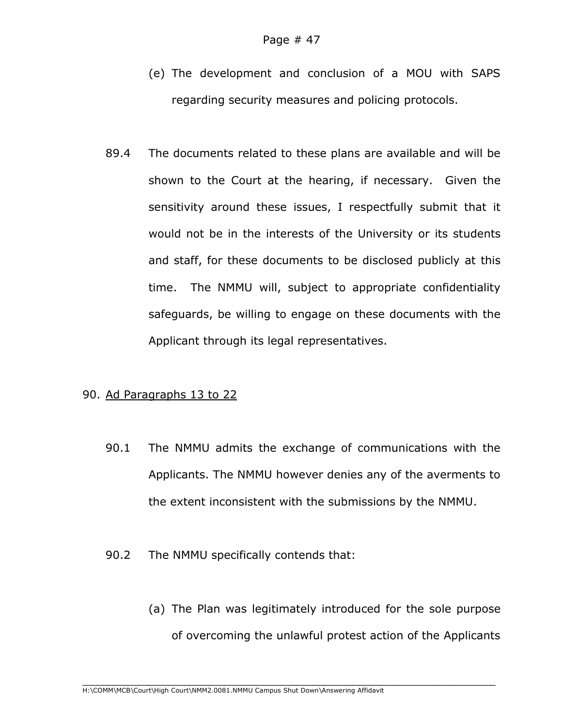- (e) The development and conclusion of a MOU with SAPS regarding security measures and policing protocols.
- 89.4 The documents related to these plans are available and will be shown to the Court at the hearing, if necessary. Given the sensitivity around these issues, I respectfully submit that it would not be in the interests of the University or its students and staff, for these documents to be disclosed publicly at this time. The NMMU will, subject to appropriate confidentiality safeguards, be willing to engage on these documents with the Applicant through its legal representatives.

#### 90. Ad Paragraphs 13 to 22

- 90.1 The NMMU admits the exchange of communications with the Applicants. The NMMU however denies any of the averments to the extent inconsistent with the submissions by the NMMU.
- 90.2 The NMMU specifically contends that:
	- (a) The Plan was legitimately introduced for the sole purpose of overcoming the unlawful protest action of the Applicants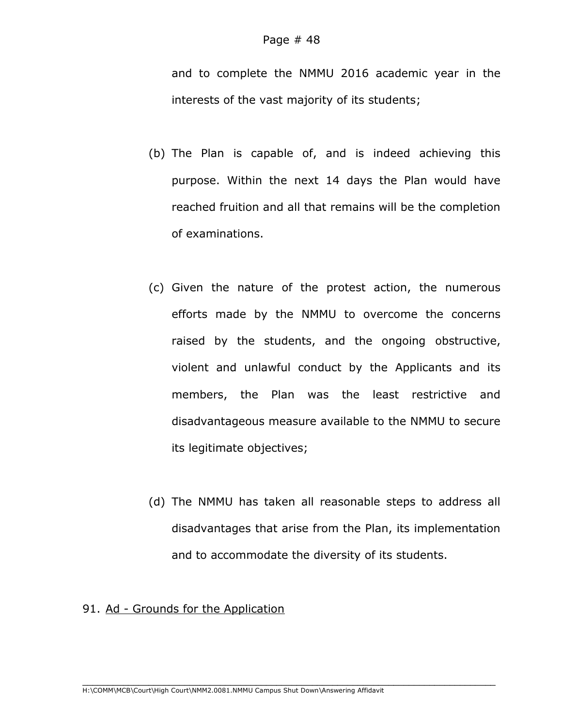and to complete the NMMU 2016 academic year in the interests of the vast majority of its students;

- (b) The Plan is capable of, and is indeed achieving this purpose. Within the next 14 days the Plan would have reached fruition and all that remains will be the completion of examinations.
- (c) Given the nature of the protest action, the numerous efforts made by the NMMU to overcome the concerns raised by the students, and the ongoing obstructive, violent and unlawful conduct by the Applicants and its members, the Plan was the least restrictive and disadvantageous measure available to the NMMU to secure its legitimate objectives;
- (d) The NMMU has taken all reasonable steps to address all disadvantages that arise from the Plan, its implementation and to accommodate the diversity of its students.

#### 91. Ad - Grounds for the Application